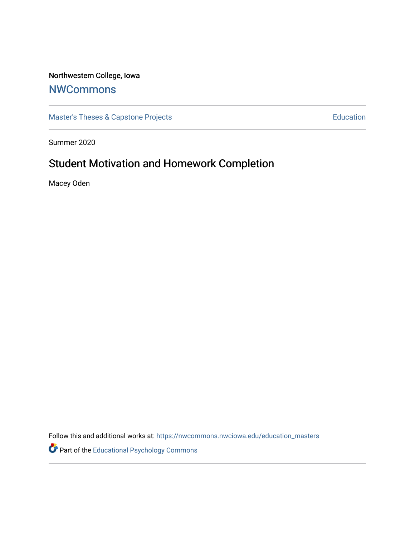## Northwestern College, Iowa

## **[NWCommons](https://nwcommons.nwciowa.edu/)**

[Master's Theses & Capstone Projects](https://nwcommons.nwciowa.edu/education_masters) **Education** Education

Summer 2020

# Student Motivation and Homework Completion

Macey Oden

Follow this and additional works at: [https://nwcommons.nwciowa.edu/education\\_masters](https://nwcommons.nwciowa.edu/education_masters?utm_source=nwcommons.nwciowa.edu%2Feducation_masters%2F241&utm_medium=PDF&utm_campaign=PDFCoverPages)

Part of the [Educational Psychology Commons](http://network.bepress.com/hgg/discipline/798?utm_source=nwcommons.nwciowa.edu%2Feducation_masters%2F241&utm_medium=PDF&utm_campaign=PDFCoverPages)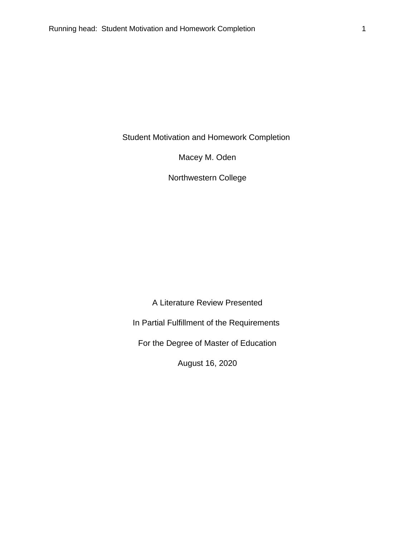Student Motivation and Homework Completion

Macey M. Oden

Northwestern College

A Literature Review Presented

In Partial Fulfillment of the Requirements

For the Degree of Master of Education

August 16, 2020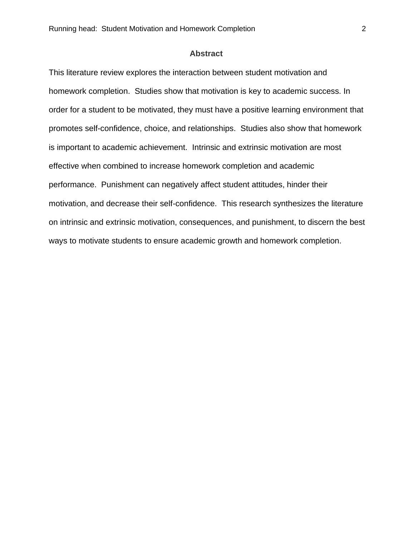#### **Abstract**

This literature review explores the interaction between student motivation and homework completion. Studies show that motivation is key to academic success. In order for a student to be motivated, they must have a positive learning environment that promotes self-confidence, choice, and relationships. Studies also show that homework is important to academic achievement. Intrinsic and extrinsic motivation are most effective when combined to increase homework completion and academic performance. Punishment can negatively affect student attitudes, hinder their motivation, and decrease their self-confidence. This research synthesizes the literature on intrinsic and extrinsic motivation, consequences, and punishment, to discern the best ways to motivate students to ensure academic growth and homework completion.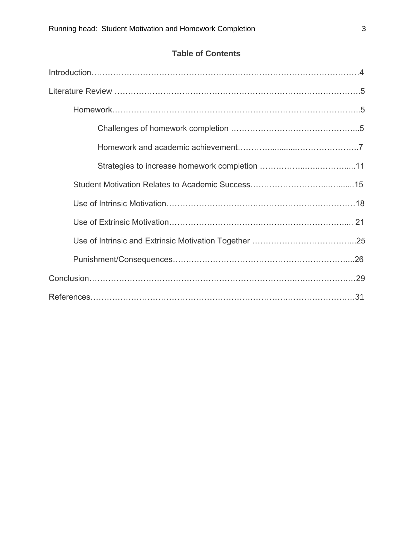## **Table of Contents**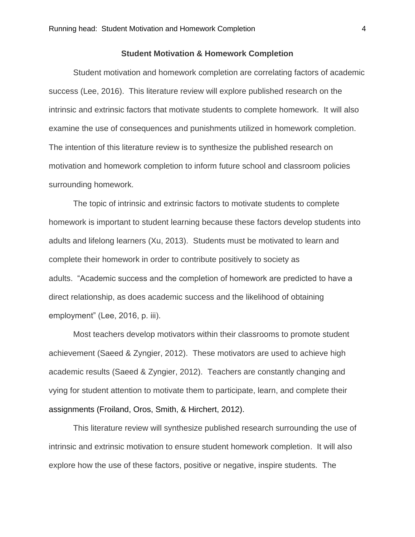#### **Student Motivation & Homework Completion**

Student motivation and homework completion are correlating factors of academic success (Lee, 2016). This literature review will explore published research on the intrinsic and extrinsic factors that motivate students to complete homework. It will also examine the use of consequences and punishments utilized in homework completion. The intention of this literature review is to synthesize the published research on motivation and homework completion to inform future school and classroom policies surrounding homework.

The topic of intrinsic and extrinsic factors to motivate students to complete homework is important to student learning because these factors develop students into adults and lifelong learners (Xu, 2013). Students must be motivated to learn and complete their homework in order to contribute positively to society as adults. "Academic success and the completion of homework are predicted to have a direct relationship, as does academic success and the likelihood of obtaining employment" (Lee, 2016, p. iii).

Most teachers develop motivators within their classrooms to promote student achievement (Saeed & Zyngier, 2012). These motivators are used to achieve high academic results (Saeed & Zyngier, 2012). Teachers are constantly changing and vying for student attention to motivate them to participate, learn, and complete their assignments (Froiland, Oros, Smith, & Hirchert, 2012).

This literature review will synthesize published research surrounding the use of intrinsic and extrinsic motivation to ensure student homework completion. It will also explore how the use of these factors, positive or negative, inspire students. The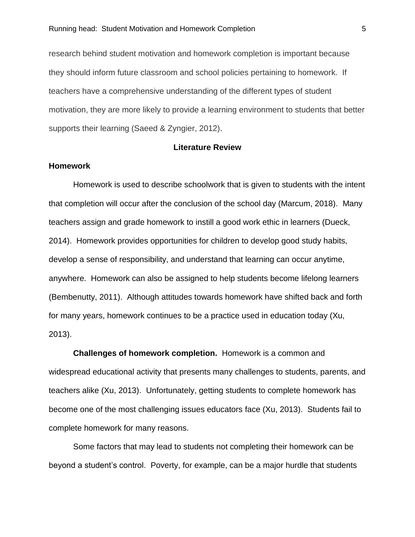research behind student motivation and homework completion is important because they should inform future classroom and school policies pertaining to homework. If teachers have a comprehensive understanding of the different types of student motivation, they are more likely to provide a learning environment to students that better supports their learning (Saeed & Zyngier, 2012).

#### **Literature Review**

#### **Homework**

Homework is used to describe schoolwork that is given to students with the intent that completion will occur after the conclusion of the school day (Marcum, 2018). Many teachers assign and grade homework to instill a good work ethic in learners (Dueck, 2014). Homework provides opportunities for children to develop good study habits, develop a sense of responsibility, and understand that learning can occur anytime, anywhere. Homework can also be assigned to help students become lifelong learners (Bembenutty, 2011). Although attitudes towards homework have shifted back and forth for many years, homework continues to be a practice used in education today (Xu, 2013).

**Challenges of homework completion.** Homework is a common and widespread educational activity that presents many challenges to students, parents, and teachers alike (Xu, 2013). Unfortunately, getting students to complete homework has become one of the most challenging issues educators face (Xu, 2013). Students fail to complete homework for many reasons.

Some factors that may lead to students not completing their homework can be beyond a student's control. Poverty, for example, can be a major hurdle that students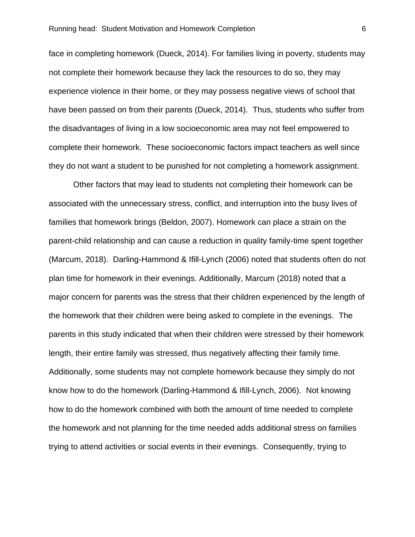face in completing homework (Dueck, 2014). For families living in poverty, students may not complete their homework because they lack the resources to do so, they may experience violence in their home, or they may possess negative views of school that have been passed on from their parents (Dueck, 2014). Thus, students who suffer from the disadvantages of living in a low socioeconomic area may not feel empowered to complete their homework. These socioeconomic factors impact teachers as well since they do not want a student to be punished for not completing a homework assignment.

Other factors that may lead to students not completing their homework can be associated with the unnecessary stress, conflict, and interruption into the busy lives of families that homework brings (Beldon, 2007). Homework can place a strain on the parent-child relationship and can cause a reduction in quality family-time spent together (Marcum, 2018). Darling-Hammond & Ifill-Lynch (2006) noted that students often do not plan time for homework in their evenings. Additionally, Marcum (2018) noted that a major concern for parents was the stress that their children experienced by the length of the homework that their children were being asked to complete in the evenings. The parents in this study indicated that when their children were stressed by their homework length, their entire family was stressed, thus negatively affecting their family time. Additionally, some students may not complete homework because they simply do not know how to do the homework (Darling-Hammond & Ifill-Lynch, 2006). Not knowing how to do the homework combined with both the amount of time needed to complete the homework and not planning for the time needed adds additional stress on families trying to attend activities or social events in their evenings. Consequently, trying to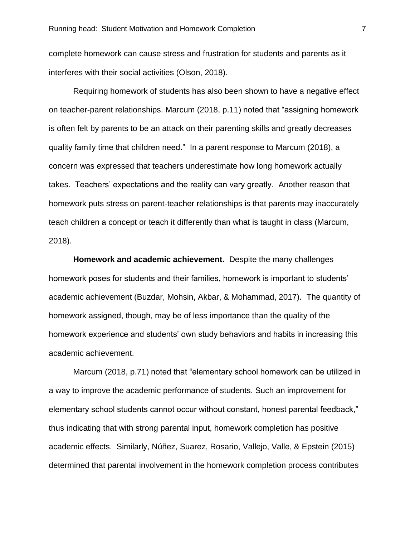complete homework can cause stress and frustration for students and parents as it interferes with their social activities (Olson, 2018).

Requiring homework of students has also been shown to have a negative effect on teacher-parent relationships. Marcum (2018, p.11) noted that "assigning homework is often felt by parents to be an attack on their parenting skills and greatly decreases quality family time that children need." In a parent response to Marcum (2018), a concern was expressed that teachers underestimate how long homework actually takes. Teachers' expectations and the reality can vary greatly. Another reason that homework puts stress on parent-teacher relationships is that parents may inaccurately teach children a concept or teach it differently than what is taught in class (Marcum, 2018).

**Homework and academic achievement.** Despite the many challenges homework poses for students and their families, homework is important to students' academic achievement (Buzdar, Mohsin, Akbar, & Mohammad, 2017). The quantity of homework assigned, though, may be of less importance than the quality of the homework experience and students' own study behaviors and habits in increasing this academic achievement.

Marcum (2018, p.71) noted that "elementary school homework can be utilized in a way to improve the academic performance of students. Such an improvement for elementary school students cannot occur without constant, honest parental feedback," thus indicating that with strong parental input, homework completion has positive academic effects. Similarly, Núñez, Suarez, Rosario, Vallejo, Valle, & Epstein (2015) determined that parental involvement in the homework completion process contributes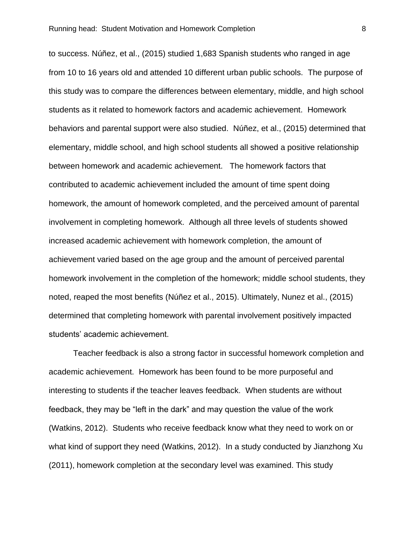to success. Núñez, et al., (2015) studied 1,683 Spanish students who ranged in age from 10 to 16 years old and attended 10 different urban public schools. The purpose of this study was to compare the differences between elementary, middle, and high school students as it related to homework factors and academic achievement. Homework behaviors and parental support were also studied. Núñez, et al., (2015) determined that elementary, middle school, and high school students all showed a positive relationship between homework and academic achievement. The homework factors that contributed to academic achievement included the amount of time spent doing homework, the amount of homework completed, and the perceived amount of parental involvement in completing homework. Although all three levels of students showed increased academic achievement with homework completion, the amount of achievement varied based on the age group and the amount of perceived parental homework involvement in the completion of the homework; middle school students, they noted, reaped the most benefits (Núñez et al., 2015). Ultimately, Nunez et al., (2015) determined that completing homework with parental involvement positively impacted students' academic achievement.

Teacher feedback is also a strong factor in successful homework completion and academic achievement. Homework has been found to be more purposeful and interesting to students if the teacher leaves feedback. When students are without feedback, they may be "left in the dark" and may question the value of the work (Watkins, 2012). Students who receive feedback know what they need to work on or what kind of support they need (Watkins, 2012). In a study conducted by Jianzhong Xu (2011), homework completion at the secondary level was examined. This study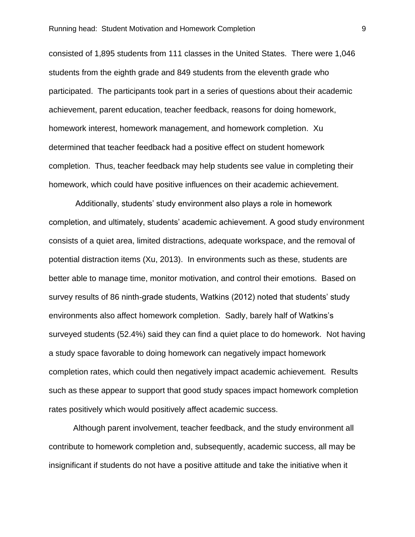consisted of 1,895 students from 111 classes in the United States. There were 1,046 students from the eighth grade and 849 students from the eleventh grade who participated. The participants took part in a series of questions about their academic achievement, parent education, teacher feedback, reasons for doing homework, homework interest, homework management, and homework completion. Xu determined that teacher feedback had a positive effect on student homework completion. Thus, teacher feedback may help students see value in completing their homework, which could have positive influences on their academic achievement.

Additionally, students' study environment also plays a role in homework completion, and ultimately, students' academic achievement. A good study environment consists of a quiet area, limited distractions, adequate workspace, and the removal of potential distraction items (Xu, 2013). In environments such as these, students are better able to manage time, monitor motivation, and control their emotions. Based on survey results of 86 ninth-grade students, Watkins (2012) noted that students' study environments also affect homework completion. Sadly, barely half of Watkins's surveyed students (52.4%) said they can find a quiet place to do homework. Not having a study space favorable to doing homework can negatively impact homework completion rates, which could then negatively impact academic achievement. Results such as these appear to support that good study spaces impact homework completion rates positively which would positively affect academic success.

Although parent involvement, teacher feedback, and the study environment all contribute to homework completion and, subsequently, academic success, all may be insignificant if students do not have a positive attitude and take the initiative when it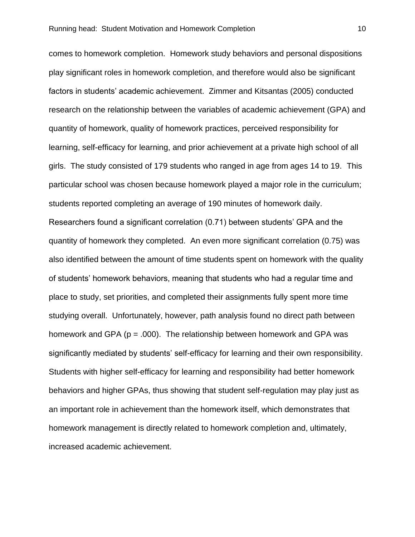comes to homework completion. Homework study behaviors and personal dispositions play significant roles in homework completion, and therefore would also be significant factors in students' academic achievement. Zimmer and Kitsantas (2005) conducted research on the relationship between the variables of academic achievement (GPA) and quantity of homework, quality of homework practices, perceived responsibility for learning, self-efficacy for learning, and prior achievement at a private high school of all girls. The study consisted of 179 students who ranged in age from ages 14 to 19. This particular school was chosen because homework played a major role in the curriculum; students reported completing an average of 190 minutes of homework daily. Researchers found a significant correlation (0.71) between students' GPA and the quantity of homework they completed. An even more significant correlation (0.75) was also identified between the amount of time students spent on homework with the quality of students' homework behaviors, meaning that students who had a regular time and place to study, set priorities, and completed their assignments fully spent more time studying overall. Unfortunately, however, path analysis found no direct path between homework and GPA ( $p = .000$ ). The relationship between homework and GPA was significantly mediated by students' self-efficacy for learning and their own responsibility. Students with higher self-efficacy for learning and responsibility had better homework behaviors and higher GPAs, thus showing that student self-regulation may play just as an important role in achievement than the homework itself, which demonstrates that homework management is directly related to homework completion and, ultimately, increased academic achievement.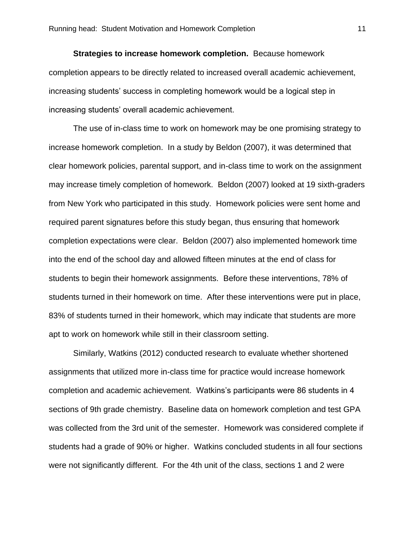**Strategies to increase homework completion.** Because homework completion appears to be directly related to increased overall academic achievement, increasing students' success in completing homework would be a logical step in increasing students' overall academic achievement.

The use of in-class time to work on homework may be one promising strategy to increase homework completion. In a study by Beldon (2007), it was determined that clear homework policies, parental support, and in-class time to work on the assignment may increase timely completion of homework. Beldon (2007) looked at 19 sixth-graders from New York who participated in this study. Homework policies were sent home and required parent signatures before this study began, thus ensuring that homework completion expectations were clear. Beldon (2007) also implemented homework time into the end of the school day and allowed fifteen minutes at the end of class for students to begin their homework assignments. Before these interventions, 78% of students turned in their homework on time. After these interventions were put in place, 83% of students turned in their homework, which may indicate that students are more apt to work on homework while still in their classroom setting.

Similarly, Watkins (2012) conducted research to evaluate whether shortened assignments that utilized more in-class time for practice would increase homework completion and academic achievement. Watkins's participants were 86 students in 4 sections of 9th grade chemistry. Baseline data on homework completion and test GPA was collected from the 3rd unit of the semester. Homework was considered complete if students had a grade of 90% or higher. Watkins concluded students in all four sections were not significantly different. For the 4th unit of the class, sections 1 and 2 were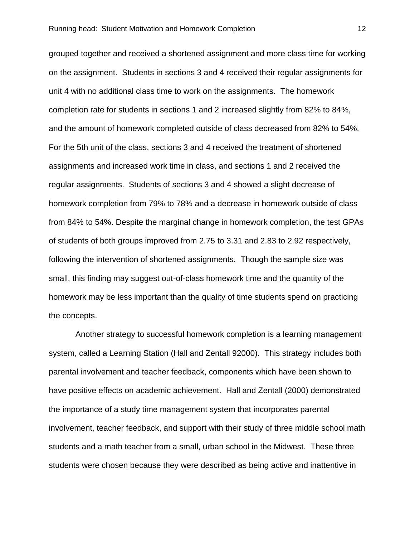grouped together and received a shortened assignment and more class time for working on the assignment. Students in sections 3 and 4 received their regular assignments for unit 4 with no additional class time to work on the assignments. The homework completion rate for students in sections 1 and 2 increased slightly from 82% to 84%, and the amount of homework completed outside of class decreased from 82% to 54%. For the 5th unit of the class, sections 3 and 4 received the treatment of shortened assignments and increased work time in class, and sections 1 and 2 received the regular assignments. Students of sections 3 and 4 showed a slight decrease of homework completion from 79% to 78% and a decrease in homework outside of class from 84% to 54%. Despite the marginal change in homework completion, the test GPAs of students of both groups improved from 2.75 to 3.31 and 2.83 to 2.92 respectively, following the intervention of shortened assignments. Though the sample size was small, this finding may suggest out-of-class homework time and the quantity of the homework may be less important than the quality of time students spend on practicing the concepts.

Another strategy to successful homework completion is a learning management system, called a Learning Station (Hall and Zentall 92000). This strategy includes both parental involvement and teacher feedback, components which have been shown to have positive effects on academic achievement. Hall and Zentall (2000) demonstrated the importance of a study time management system that incorporates parental involvement, teacher feedback, and support with their study of three middle school math students and a math teacher from a small, urban school in the Midwest. These three students were chosen because they were described as being active and inattentive in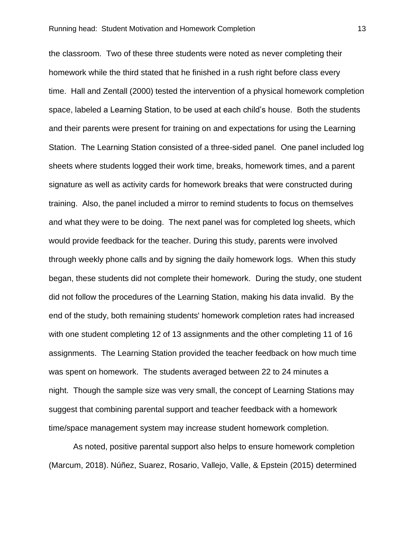the classroom. Two of these three students were noted as never completing their homework while the third stated that he finished in a rush right before class every time. Hall and Zentall (2000) tested the intervention of a physical homework completion space, labeled a Learning Station, to be used at each child's house. Both the students and their parents were present for training on and expectations for using the Learning Station. The Learning Station consisted of a three-sided panel. One panel included log sheets where students logged their work time, breaks, homework times, and a parent signature as well as activity cards for homework breaks that were constructed during training. Also, the panel included a mirror to remind students to focus on themselves and what they were to be doing. The next panel was for completed log sheets, which would provide feedback for the teacher. During this study, parents were involved through weekly phone calls and by signing the daily homework logs. When this study began, these students did not complete their homework. During the study, one student did not follow the procedures of the Learning Station, making his data invalid. By the end of the study, both remaining students' homework completion rates had increased with one student completing 12 of 13 assignments and the other completing 11 of 16 assignments. The Learning Station provided the teacher feedback on how much time was spent on homework. The students averaged between 22 to 24 minutes a night. Though the sample size was very small, the concept of Learning Stations may suggest that combining parental support and teacher feedback with a homework time/space management system may increase student homework completion.

As noted, positive parental support also helps to ensure homework completion (Marcum, 2018). Núñez, Suarez, Rosario, Vallejo, Valle, & Epstein (2015) determined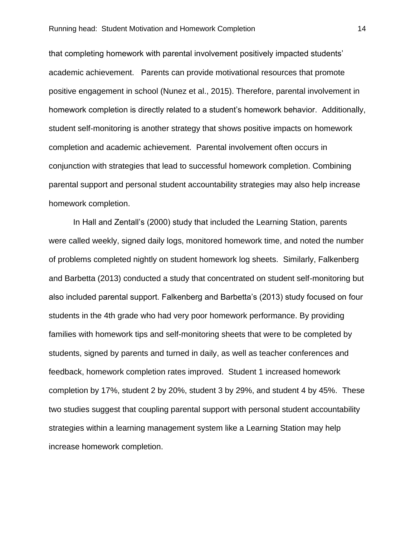that completing homework with parental involvement positively impacted students' academic achievement. Parents can provide motivational resources that promote positive engagement in school (Nunez et al., 2015). Therefore, parental involvement in homework completion is directly related to a student's homework behavior. Additionally, student self-monitoring is another strategy that shows positive impacts on homework completion and academic achievement. Parental involvement often occurs in conjunction with strategies that lead to successful homework completion. Combining parental support and personal student accountability strategies may also help increase homework completion.

In Hall and Zentall's (2000) study that included the Learning Station, parents were called weekly, signed daily logs, monitored homework time, and noted the number of problems completed nightly on student homework log sheets. Similarly, Falkenberg and Barbetta (2013) conducted a study that concentrated on student self-monitoring but also included parental support. Falkenberg and Barbetta's (2013) study focused on four students in the 4th grade who had very poor homework performance. By providing families with homework tips and self-monitoring sheets that were to be completed by students, signed by parents and turned in daily, as well as teacher conferences and feedback, homework completion rates improved. Student 1 increased homework completion by 17%, student 2 by 20%, student 3 by 29%, and student 4 by 45%. These two studies suggest that coupling parental support with personal student accountability strategies within a learning management system like a Learning Station may help increase homework completion.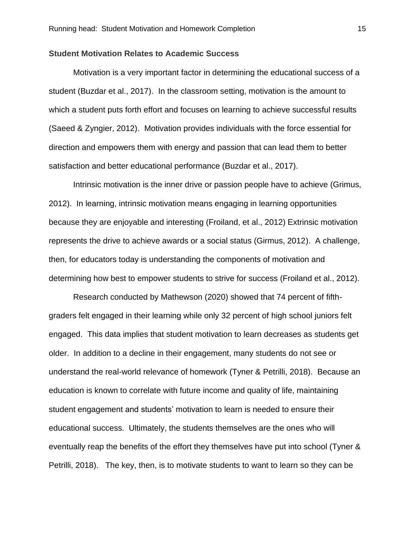#### **Student Motivation Relates to Academic Success**

Motivation is a very important factor in determining the educational success of a student (Buzdar et al., 2017). In the classroom setting, motivation is the amount to which a student puts forth effort and focuses on learning to achieve successful results (Saeed & Zyngier, 2012). Motivation provides individuals with the force essential for direction and empowers them with energy and passion that can lead them to better satisfaction and better educational performance (Buzdar et al., 2017).

Intrinsic motivation is the inner drive or passion people have to achieve (Grimus, 2012). In learning, intrinsic motivation means engaging in learning opportunities because they are enjoyable and interesting (Froiland, et al., 2012) Extrinsic motivation represents the drive to achieve awards or a social status (Girmus, 2012). A challenge, then, for educators today is understanding the components of motivation and determining how best to empower students to strive for success (Froiland et al., 2012).

Research conducted by Mathewson (2020) showed that 74 percent of fifthgraders felt engaged in their learning while only 32 percent of high school juniors felt engaged. This data implies that student motivation to learn decreases as students get older. In addition to a decline in their engagement, many students do not see or understand the real-world relevance of homework (Tyner & Petrilli, 2018). Because an education is known to correlate with future income and quality of life, maintaining student engagement and students' motivation to learn is needed to ensure their educational success. Ultimately, the students themselves are the ones who will eventually reap the benefits of the effort they themselves have put into school (Tyner & Petrilli, 2018). The key, then, is to motivate students to want to learn so they can be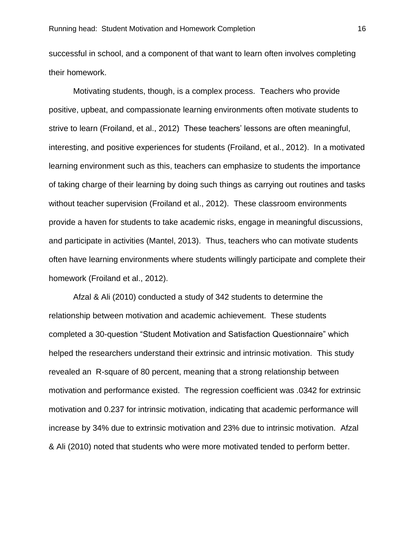successful in school, and a component of that want to learn often involves completing their homework.

Motivating students, though, is a complex process. Teachers who provide positive, upbeat, and compassionate learning environments often motivate students to strive to learn (Froiland, et al., 2012) These teachers' lessons are often meaningful, interesting, and positive experiences for students (Froiland, et al., 2012). In a motivated learning environment such as this, teachers can emphasize to students the importance of taking charge of their learning by doing such things as carrying out routines and tasks without teacher supervision (Froiland et al., 2012). These classroom environments provide a haven for students to take academic risks, engage in meaningful discussions, and participate in activities (Mantel, 2013). Thus, teachers who can motivate students often have learning environments where students willingly participate and complete their homework (Froiland et al., 2012).

Afzal & Ali (2010) conducted a study of 342 students to determine the relationship between motivation and academic achievement. These students completed a 30-question "Student Motivation and Satisfaction Questionnaire" which helped the researchers understand their extrinsic and intrinsic motivation. This study revealed an R-square of 80 percent, meaning that a strong relationship between motivation and performance existed. The regression coefficient was .0342 for extrinsic motivation and 0.237 for intrinsic motivation, indicating that academic performance will increase by 34% due to extrinsic motivation and 23% due to intrinsic motivation. Afzal & Ali (2010) noted that students who were more motivated tended to perform better.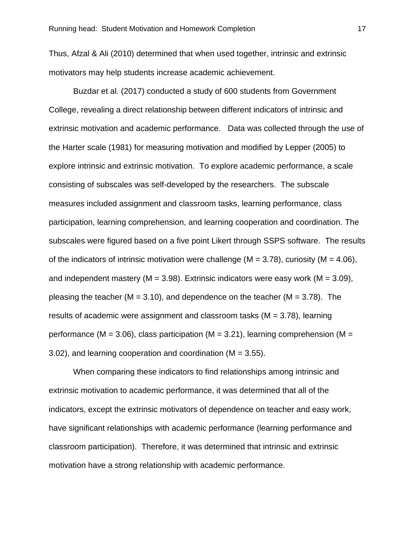Thus, Afzal & Ali (2010) determined that when used together, intrinsic and extrinsic motivators may help students increase academic achievement.

Buzdar et al. (2017) conducted a study of 600 students from Government College, revealing a direct relationship between different indicators of intrinsic and extrinsic motivation and academic performance. Data was collected through the use of the Harter scale (1981) for measuring motivation and modified by Lepper (2005) to explore intrinsic and extrinsic motivation. To explore academic performance, a scale consisting of subscales was self-developed by the researchers. The subscale measures included assignment and classroom tasks, learning performance, class participation, learning comprehension, and learning cooperation and coordination. The subscales were figured based on a five point Likert through SSPS software. The results of the indicators of intrinsic motivation were challenge ( $M = 3.78$ ), curiosity ( $M = 4.06$ ), and independent mastery ( $M = 3.98$ ). Extrinsic indicators were easy work ( $M = 3.09$ ), pleasing the teacher ( $M = 3.10$ ), and dependence on the teacher ( $M = 3.78$ ). The results of academic were assignment and classroom tasks ( $M = 3.78$ ), learning performance (M = 3.06), class participation (M = 3.21), learning comprehension (M = 3.02), and learning cooperation and coordination (M = 3.55).

When comparing these indicators to find relationships among intrinsic and extrinsic motivation to academic performance, it was determined that all of the indicators, except the extrinsic motivators of dependence on teacher and easy work, have significant relationships with academic performance (learning performance and classroom participation). Therefore, it was determined that intrinsic and extrinsic motivation have a strong relationship with academic performance.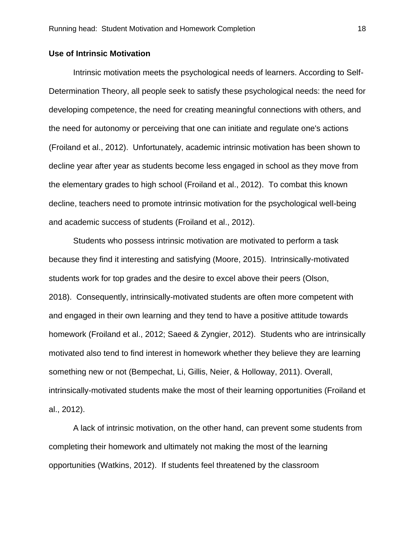#### **Use of Intrinsic Motivation**

Intrinsic motivation meets the psychological needs of learners. According to Self-Determination Theory, all people seek to satisfy these psychological needs: the need for developing competence, the need for creating meaningful connections with others, and the need for autonomy or perceiving that one can initiate and regulate one's actions (Froiland et al., 2012). Unfortunately, academic intrinsic motivation has been shown to decline year after year as students become less engaged in school as they move from the elementary grades to high school (Froiland et al., 2012). To combat this known decline, teachers need to promote intrinsic motivation for the psychological well-being and academic success of students (Froiland et al., 2012).

Students who possess intrinsic motivation are motivated to perform a task because they find it interesting and satisfying (Moore, 2015). Intrinsically-motivated students work for top grades and the desire to excel above their peers (Olson, 2018). Consequently, intrinsically-motivated students are often more competent with and engaged in their own learning and they tend to have a positive attitude towards homework (Froiland et al., 2012; Saeed & Zyngier, 2012). Students who are intrinsically motivated also tend to find interest in homework whether they believe they are learning something new or not (Bempechat, Li, Gillis, Neier, & Holloway, 2011). Overall, intrinsically-motivated students make the most of their learning opportunities (Froiland et al., 2012).

A lack of intrinsic motivation, on the other hand, can prevent some students from completing their homework and ultimately not making the most of the learning opportunities (Watkins, 2012). If students feel threatened by the classroom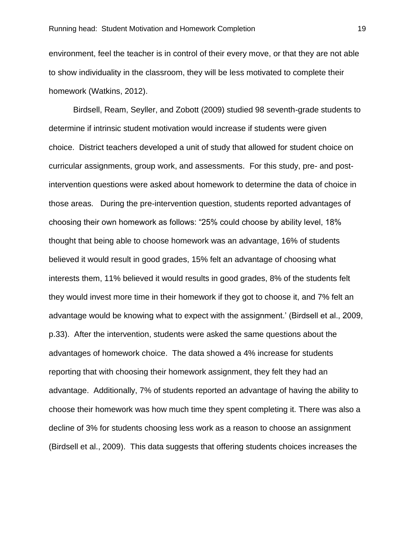environment, feel the teacher is in control of their every move, or that they are not able to show individuality in the classroom, they will be less motivated to complete their homework (Watkins, 2012).

Birdsell, Ream, Seyller, and Zobott (2009) studied 98 seventh-grade students to determine if intrinsic student motivation would increase if students were given choice. District teachers developed a unit of study that allowed for student choice on curricular assignments, group work, and assessments. For this study, pre- and postintervention questions were asked about homework to determine the data of choice in those areas. During the pre-intervention question, students reported advantages of choosing their own homework as follows: "25% could choose by ability level, 18% thought that being able to choose homework was an advantage, 16% of students believed it would result in good grades, 15% felt an advantage of choosing what interests them, 11% believed it would results in good grades, 8% of the students felt they would invest more time in their homework if they got to choose it, and 7% felt an advantage would be knowing what to expect with the assignment.' (Birdsell et al., 2009, p.33). After the intervention, students were asked the same questions about the advantages of homework choice. The data showed a 4% increase for students reporting that with choosing their homework assignment, they felt they had an advantage. Additionally, 7% of students reported an advantage of having the ability to choose their homework was how much time they spent completing it. There was also a decline of 3% for students choosing less work as a reason to choose an assignment (Birdsell et al., 2009). This data suggests that offering students choices increases the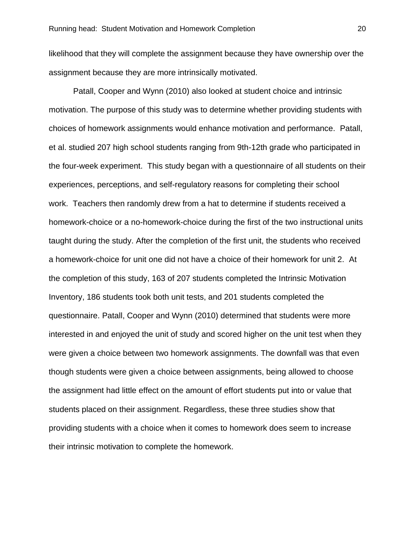likelihood that they will complete the assignment because they have ownership over the assignment because they are more intrinsically motivated.

Patall, Cooper and Wynn (2010) also looked at student choice and intrinsic motivation. The purpose of this study was to determine whether providing students with choices of homework assignments would enhance motivation and performance. Patall, et al. studied 207 high school students ranging from 9th-12th grade who participated in the four-week experiment. This study began with a questionnaire of all students on their experiences, perceptions, and self-regulatory reasons for completing their school work. Teachers then randomly drew from a hat to determine if students received a homework-choice or a no-homework-choice during the first of the two instructional units taught during the study. After the completion of the first unit, the students who received a homework-choice for unit one did not have a choice of their homework for unit 2. At the completion of this study, 163 of 207 students completed the Intrinsic Motivation Inventory, 186 students took both unit tests, and 201 students completed the questionnaire. Patall, Cooper and Wynn (2010) determined that students were more interested in and enjoyed the unit of study and scored higher on the unit test when they were given a choice between two homework assignments. The downfall was that even though students were given a choice between assignments, being allowed to choose the assignment had little effect on the amount of effort students put into or value that students placed on their assignment. Regardless, these three studies show that providing students with a choice when it comes to homework does seem to increase their intrinsic motivation to complete the homework.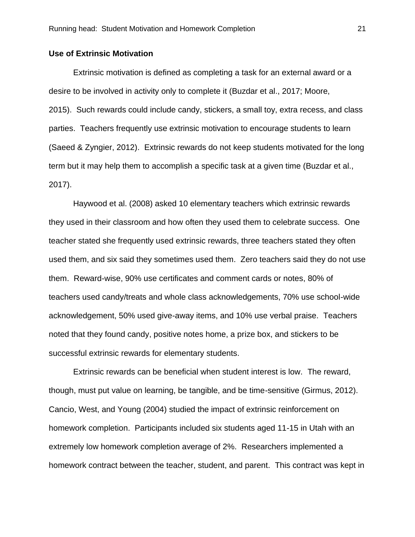#### **Use of Extrinsic Motivation**

Extrinsic motivation is defined as completing a task for an external award or a desire to be involved in activity only to complete it (Buzdar et al., 2017; Moore, 2015). Such rewards could include candy, stickers, a small toy, extra recess, and class parties. Teachers frequently use extrinsic motivation to encourage students to learn (Saeed & Zyngier, 2012). Extrinsic rewards do not keep students motivated for the long term but it may help them to accomplish a specific task at a given time (Buzdar et al., 2017).

Haywood et al. (2008) asked 10 elementary teachers which extrinsic rewards they used in their classroom and how often they used them to celebrate success. One teacher stated she frequently used extrinsic rewards, three teachers stated they often used them, and six said they sometimes used them. Zero teachers said they do not use them. Reward-wise, 90% use certificates and comment cards or notes, 80% of teachers used candy/treats and whole class acknowledgements, 70% use school-wide acknowledgement, 50% used give-away items, and 10% use verbal praise. Teachers noted that they found candy, positive notes home, a prize box, and stickers to be successful extrinsic rewards for elementary students.

Extrinsic rewards can be beneficial when student interest is low. The reward, though, must put value on learning, be tangible, and be time-sensitive (Girmus, 2012). Cancio, West, and Young (2004) studied the impact of extrinsic reinforcement on homework completion. Participants included six students aged 11-15 in Utah with an extremely low homework completion average of 2%. Researchers implemented a homework contract between the teacher, student, and parent. This contract was kept in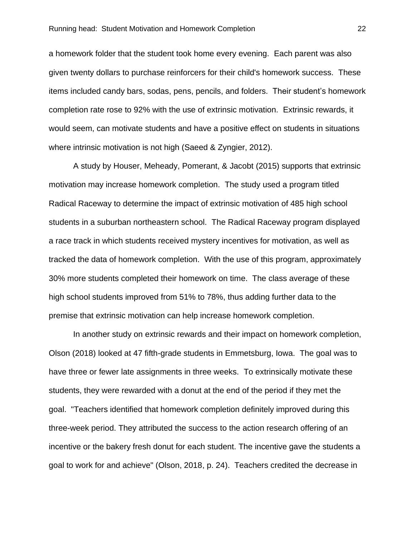a homework folder that the student took home every evening. Each parent was also given twenty dollars to purchase reinforcers for their child's homework success. These items included candy bars, sodas, pens, pencils, and folders. Their student's homework completion rate rose to 92% with the use of extrinsic motivation. Extrinsic rewards, it would seem, can motivate students and have a positive effect on students in situations where intrinsic motivation is not high (Saeed & Zyngier, 2012).

A study by Houser, Meheady, Pomerant, & Jacobt (2015) supports that extrinsic motivation may increase homework completion. The study used a program titled Radical Raceway to determine the impact of extrinsic motivation of 485 high school students in a suburban northeastern school. The Radical Raceway program displayed a race track in which students received mystery incentives for motivation, as well as tracked the data of homework completion. With the use of this program, approximately 30% more students completed their homework on time. The class average of these high school students improved from 51% to 78%, thus adding further data to the premise that extrinsic motivation can help increase homework completion.

In another study on extrinsic rewards and their impact on homework completion, Olson (2018) looked at 47 fifth-grade students in Emmetsburg, Iowa. The goal was to have three or fewer late assignments in three weeks. To extrinsically motivate these students, they were rewarded with a donut at the end of the period if they met the goal. "Teachers identified that homework completion definitely improved during this three-week period. They attributed the success to the action research offering of an incentive or the bakery fresh donut for each student. The incentive gave the students a goal to work for and achieve" (Olson, 2018, p. 24). Teachers credited the decrease in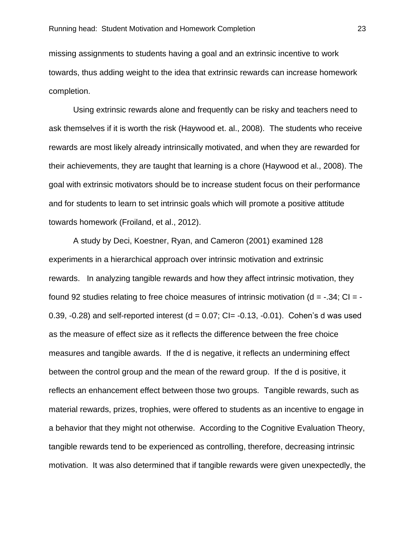missing assignments to students having a goal and an extrinsic incentive to work towards, thus adding weight to the idea that extrinsic rewards can increase homework completion.

Using extrinsic rewards alone and frequently can be risky and teachers need to ask themselves if it is worth the risk (Haywood et. al., 2008). The students who receive rewards are most likely already intrinsically motivated, and when they are rewarded for their achievements, they are taught that learning is a chore (Haywood et al., 2008). The goal with extrinsic motivators should be to increase student focus on their performance and for students to learn to set intrinsic goals which will promote a positive attitude towards homework (Froiland, et al., 2012).

A study by Deci, Koestner, Ryan, and Cameron (2001) examined 128 experiments in a hierarchical approach over intrinsic motivation and extrinsic rewards. In analyzing tangible rewards and how they affect intrinsic motivation, they found 92 studies relating to free choice measures of intrinsic motivation ( $d = -0.34$ ; CI = -0.39,  $-0.28$ ) and self-reported interest (d = 0.07; CI=  $-0.13$ ,  $-0.01$ ). Cohen's d was used as the measure of effect size as it reflects the difference between the free choice measures and tangible awards. If the d is negative, it reflects an undermining effect between the control group and the mean of the reward group. If the d is positive, it reflects an enhancement effect between those two groups. Tangible rewards, such as material rewards, prizes, trophies, were offered to students as an incentive to engage in a behavior that they might not otherwise. According to the Cognitive Evaluation Theory, tangible rewards tend to be experienced as controlling, therefore, decreasing intrinsic motivation. It was also determined that if tangible rewards were given unexpectedly, the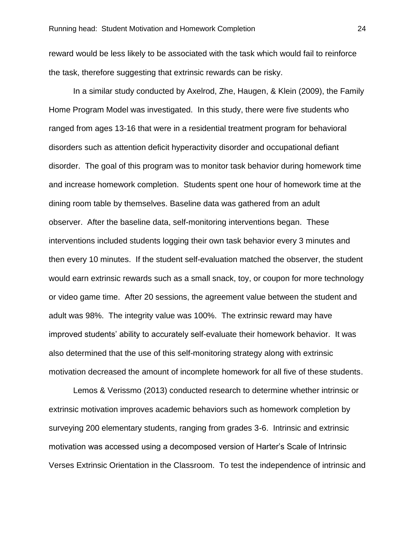reward would be less likely to be associated with the task which would fail to reinforce the task, therefore suggesting that extrinsic rewards can be risky.

In a similar study conducted by Axelrod, Zhe, Haugen, & Klein (2009), the Family Home Program Model was investigated. In this study, there were five students who ranged from ages 13-16 that were in a residential treatment program for behavioral disorders such as attention deficit hyperactivity disorder and occupational defiant disorder. The goal of this program was to monitor task behavior during homework time and increase homework completion. Students spent one hour of homework time at the dining room table by themselves. Baseline data was gathered from an adult observer. After the baseline data, self-monitoring interventions began. These interventions included students logging their own task behavior every 3 minutes and then every 10 minutes. If the student self-evaluation matched the observer, the student would earn extrinsic rewards such as a small snack, toy, or coupon for more technology or video game time. After 20 sessions, the agreement value between the student and adult was 98%. The integrity value was 100%. The extrinsic reward may have improved students' ability to accurately self-evaluate their homework behavior. It was also determined that the use of this self-monitoring strategy along with extrinsic motivation decreased the amount of incomplete homework for all five of these students.

Lemos & Verissmo (2013) conducted research to determine whether intrinsic or extrinsic motivation improves academic behaviors such as homework completion by surveying 200 elementary students, ranging from grades 3-6. Intrinsic and extrinsic motivation was accessed using a decomposed version of Harter's Scale of Intrinsic Verses Extrinsic Orientation in the Classroom. To test the independence of intrinsic and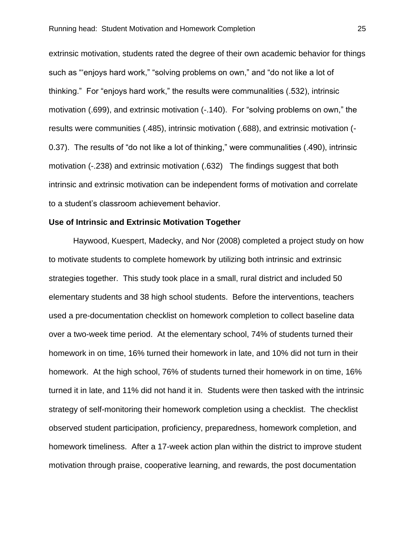extrinsic motivation, students rated the degree of their own academic behavior for things such as "'enjoys hard work," "solving problems on own," and "do not like a lot of thinking." For "enjoys hard work," the results were communalities (.532), intrinsic motivation (.699), and extrinsic motivation (-.140). For "solving problems on own," the results were communities (.485), intrinsic motivation (.688), and extrinsic motivation (- 0.37). The results of "do not like a lot of thinking," were communalities (.490), intrinsic motivation (-.238) and extrinsic motivation (.632) The findings suggest that both intrinsic and extrinsic motivation can be independent forms of motivation and correlate to a student's classroom achievement behavior.

#### **Use of Intrinsic and Extrinsic Motivation Together**

Haywood, Kuespert, Madecky, and Nor (2008) completed a project study on how to motivate students to complete homework by utilizing both intrinsic and extrinsic strategies together. This study took place in a small, rural district and included 50 elementary students and 38 high school students. Before the interventions, teachers used a pre-documentation checklist on homework completion to collect baseline data over a two-week time period. At the elementary school, 74% of students turned their homework in on time, 16% turned their homework in late, and 10% did not turn in their homework. At the high school, 76% of students turned their homework in on time, 16% turned it in late, and 11% did not hand it in. Students were then tasked with the intrinsic strategy of self-monitoring their homework completion using a checklist. The checklist observed student participation, proficiency, preparedness, homework completion, and homework timeliness. After a 17-week action plan within the district to improve student motivation through praise, cooperative learning, and rewards, the post documentation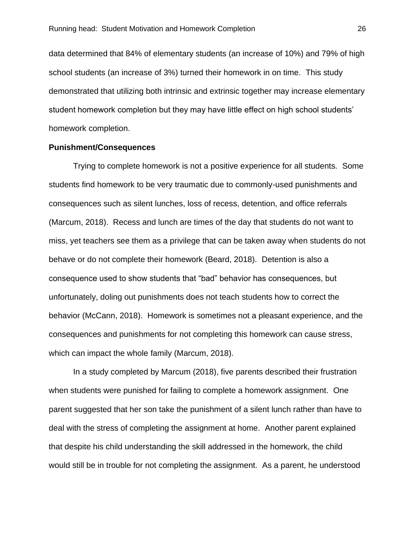data determined that 84% of elementary students (an increase of 10%) and 79% of high school students (an increase of 3%) turned their homework in on time. This study demonstrated that utilizing both intrinsic and extrinsic together may increase elementary student homework completion but they may have little effect on high school students' homework completion.

#### **Punishment/Consequences**

Trying to complete homework is not a positive experience for all students. Some students find homework to be very traumatic due to commonly-used punishments and consequences such as silent lunches, loss of recess, detention, and office referrals (Marcum, 2018). Recess and lunch are times of the day that students do not want to miss, yet teachers see them as a privilege that can be taken away when students do not behave or do not complete their homework (Beard, 2018). Detention is also a consequence used to show students that "bad" behavior has consequences, but unfortunately, doling out punishments does not teach students how to correct the behavior (McCann, 2018). Homework is sometimes not a pleasant experience, and the consequences and punishments for not completing this homework can cause stress, which can impact the whole family (Marcum, 2018).

In a study completed by Marcum (2018), five parents described their frustration when students were punished for failing to complete a homework assignment. One parent suggested that her son take the punishment of a silent lunch rather than have to deal with the stress of completing the assignment at home. Another parent explained that despite his child understanding the skill addressed in the homework, the child would still be in trouble for not completing the assignment. As a parent, he understood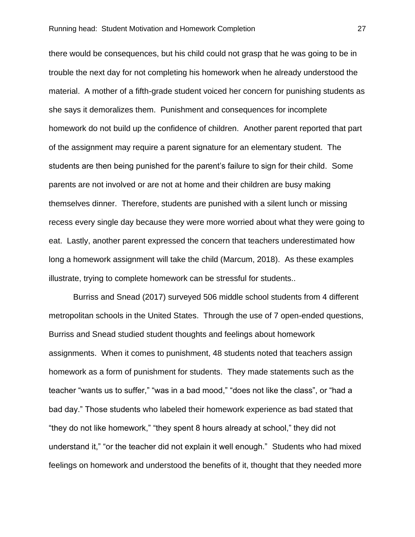there would be consequences, but his child could not grasp that he was going to be in trouble the next day for not completing his homework when he already understood the material. A mother of a fifth-grade student voiced her concern for punishing students as she says it demoralizes them. Punishment and consequences for incomplete homework do not build up the confidence of children. Another parent reported that part of the assignment may require a parent signature for an elementary student. The students are then being punished for the parent's failure to sign for their child. Some parents are not involved or are not at home and their children are busy making themselves dinner. Therefore, students are punished with a silent lunch or missing recess every single day because they were more worried about what they were going to eat. Lastly, another parent expressed the concern that teachers underestimated how long a homework assignment will take the child (Marcum, 2018). As these examples illustrate, trying to complete homework can be stressful for students..

Burriss and Snead (2017) surveyed 506 middle school students from 4 different metropolitan schools in the United States. Through the use of 7 open-ended questions, Burriss and Snead studied student thoughts and feelings about homework assignments. When it comes to punishment, 48 students noted that teachers assign homework as a form of punishment for students. They made statements such as the teacher "wants us to suffer," "was in a bad mood," "does not like the class", or "had a bad day." Those students who labeled their homework experience as bad stated that "they do not like homework," "they spent 8 hours already at school," they did not understand it," "or the teacher did not explain it well enough." Students who had mixed feelings on homework and understood the benefits of it, thought that they needed more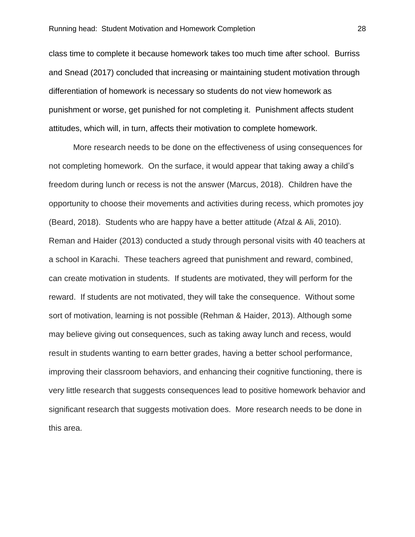class time to complete it because homework takes too much time after school. Burriss and Snead (2017) concluded that increasing or maintaining student motivation through differentiation of homework is necessary so students do not view homework as punishment or worse, get punished for not completing it. Punishment affects student attitudes, which will, in turn, affects their motivation to complete homework.

More research needs to be done on the effectiveness of using consequences for not completing homework. On the surface, it would appear that taking away a child's freedom during lunch or recess is not the answer (Marcus, 2018). Children have the opportunity to choose their movements and activities during recess, which promotes joy (Beard, 2018). Students who are happy have a better attitude (Afzal & Ali, 2010). Reman and Haider (2013) conducted a study through personal visits with 40 teachers at a school in Karachi. These teachers agreed that punishment and reward, combined, can create motivation in students. If students are motivated, they will perform for the reward. If students are not motivated, they will take the consequence. Without some sort of motivation, learning is not possible (Rehman & Haider, 2013). Although some may believe giving out consequences, such as taking away lunch and recess, would result in students wanting to earn better grades, having a better school performance, improving their classroom behaviors, and enhancing their cognitive functioning, there is very little research that suggests consequences lead to positive homework behavior and significant research that suggests motivation does. More research needs to be done in this area.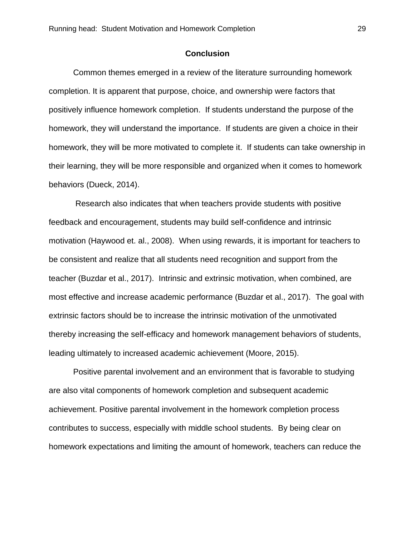#### **Conclusion**

Common themes emerged in a review of the literature surrounding homework completion. It is apparent that purpose, choice, and ownership were factors that positively influence homework completion. If students understand the purpose of the homework, they will understand the importance. If students are given a choice in their homework, they will be more motivated to complete it. If students can take ownership in their learning, they will be more responsible and organized when it comes to homework behaviors (Dueck, 2014).

Research also indicates that when teachers provide students with positive feedback and encouragement, students may build self-confidence and intrinsic motivation (Haywood et. al., 2008). When using rewards, it is important for teachers to be consistent and realize that all students need recognition and support from the teacher (Buzdar et al., 2017). Intrinsic and extrinsic motivation, when combined, are most effective and increase academic performance (Buzdar et al., 2017). The goal with extrinsic factors should be to increase the intrinsic motivation of the unmotivated thereby increasing the self-efficacy and homework management behaviors of students, leading ultimately to increased academic achievement (Moore, 2015).

Positive parental involvement and an environment that is favorable to studying are also vital components of homework completion and subsequent academic achievement. Positive parental involvement in the homework completion process contributes to success, especially with middle school students. By being clear on homework expectations and limiting the amount of homework, teachers can reduce the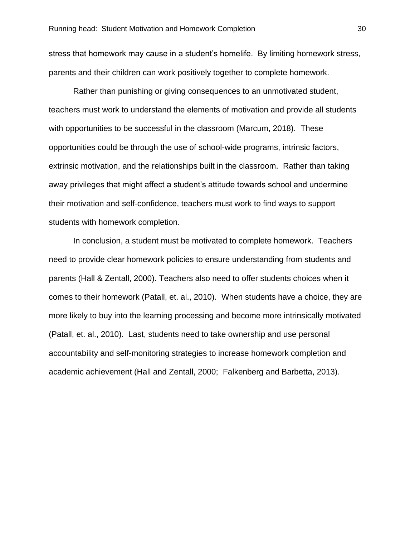stress that homework may cause in a student's homelife. By limiting homework stress, parents and their children can work positively together to complete homework.

Rather than punishing or giving consequences to an unmotivated student, teachers must work to understand the elements of motivation and provide all students with opportunities to be successful in the classroom (Marcum, 2018). These opportunities could be through the use of school-wide programs, intrinsic factors, extrinsic motivation, and the relationships built in the classroom. Rather than taking away privileges that might affect a student's attitude towards school and undermine their motivation and self-confidence, teachers must work to find ways to support students with homework completion.

In conclusion, a student must be motivated to complete homework. Teachers need to provide clear homework policies to ensure understanding from students and parents (Hall & Zentall, 2000). Teachers also need to offer students choices when it comes to their homework (Patall, et. al., 2010). When students have a choice, they are more likely to buy into the learning processing and become more intrinsically motivated (Patall, et. al., 2010). Last, students need to take ownership and use personal accountability and self-monitoring strategies to increase homework completion and academic achievement (Hall and Zentall, 2000; Falkenberg and Barbetta, 2013).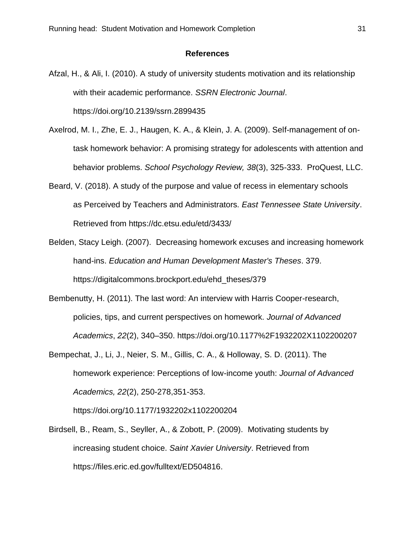#### **References**

- Afzal, H., & Ali, I. (2010). A study of university students motivation and its relationship with their academic performance. *SSRN Electronic Journal*. https://doi.org/10.2139/ssrn.2899435
- Axelrod, M. I., Zhe, E. J., Haugen, K. A., & Klein, J. A. (2009). Self-management of ontask homework behavior: A promising strategy for adolescents with attention and behavior problems. *School Psychology Review, 38*(3), 325-333. ProQuest, LLC.
- Beard, V. (2018). A study of the purpose and value of recess in elementary schools as Perceived by Teachers and Administrators. *East Tennessee State University*. Retrieved from https://dc.etsu.edu/etd/3433/
- Belden, Stacy Leigh. (2007). Decreasing homework excuses and increasing homework hand-ins. *Education and Human Development Master's Theses*. 379. https://digitalcommons.brockport.edu/ehd\_theses/379
- Bembenutty, H. (2011). The last word: An interview with Harris Cooper-research, policies, tips, and current perspectives on homework. *Journal of Advanced Academics*, *22*(2), 340–350. https://doi.org/10.1177%2F1932202X1102200207
- Bempechat, J., Li, J., Neier, S. M., Gillis, C. A., & Holloway, S. D. (2011). The homework experience: Perceptions of low-income youth: *Journal of Advanced Academics, 22*(2), 250-278,351-353.

https://doi.org/10.1177/1932202x1102200204

Birdsell, B., Ream, S., Seyller, A., & Zobott, P. (2009). Motivating students by increasing student choice. *Saint Xavier University*. Retrieved from https://files.eric.ed.gov/fulltext/ED504816.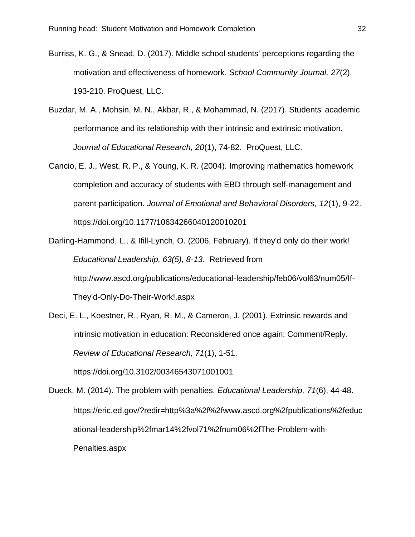- Burriss, K. G., & Snead, D. (2017). Middle school students' perceptions regarding the motivation and effectiveness of homework. *School Community Journal, 27*(2), 193-210. ProQuest, LLC.
- Buzdar, M. A., Mohsin, M. N., Akbar, R., & Mohammad, N. (2017). Students' academic performance and its relationship with their intrinsic and extrinsic motivation. *Journal of Educational Research, 20*(1), 74-82. ProQuest, LLC.
- Cancio, E. J., West, R. P., & Young, K. R. (2004). Improving mathematics homework completion and accuracy of students with EBD through self-management and parent participation. *Journal of Emotional and Behavioral Disorders, 12*(1), 9-22. https://doi.org/10.1177/10634266040120010201
- Darling-Hammond, L., & Ifill-Lynch, O. (2006, February). If they'd only do their work! *Educational Leadership, 63(5), 8-13.* Retrieved from http://www.ascd.org/publications/educational-leadership/feb06/vol63/num05/If-They'd-Only-Do-Their-Work!.aspx
- Deci, E. L., Koestner, R., Ryan, R. M., & Cameron, J. (2001). Extrinsic rewards and intrinsic motivation in education: Reconsidered once again: Comment/Reply. *Review of Educational Research, 71*(1), 1-51.

https://doi.org/10.3102/00346543071001001

Dueck, M. (2014). The problem with penalties. *Educational Leadership, 71*(6), 44-48. https://eric.ed.gov/?redir=http%3a%2f%2fwww.ascd.org%2fpublications%2feduc ational-leadership%2fmar14%2fvol71%2fnum06%2fThe-Problem-with-Penalties.aspx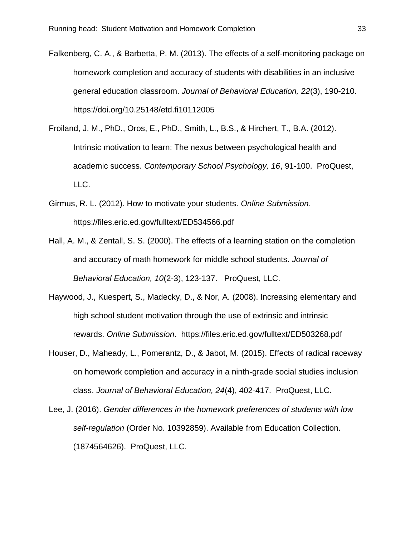Falkenberg, C. A., & Barbetta, P. M. (2013). The effects of a self-monitoring package on homework completion and accuracy of students with disabilities in an inclusive general education classroom. *Journal of Behavioral Education, 22*(3), 190-210. https://doi.org/10.25148/etd.fi10112005

- Froiland, J. M., PhD., Oros, E., PhD., Smith, L., B.S., & Hirchert, T., B.A. (2012). Intrinsic motivation to learn: The nexus between psychological health and academic success. *Contemporary School Psychology, 16*, 91-100. ProQuest, LLC.
- Girmus, R. L. (2012). How to motivate your students. *Online Submission*. https://files.eric.ed.gov/fulltext/ED534566.pdf
- Hall, A. M., & Zentall, S. S. (2000). The effects of a learning station on the completion and accuracy of math homework for middle school students. *Journal of Behavioral Education, 10*(2-3), 123-137. ProQuest, LLC.
- Haywood, J., Kuespert, S., Madecky, D., & Nor, A. (2008). Increasing elementary and high school student motivation through the use of extrinsic and intrinsic rewards. *Online Submission*. https://files.eric.ed.gov/fulltext/ED503268.pdf
- Houser, D., Maheady, L., Pomerantz, D., & Jabot, M. (2015). Effects of radical raceway on homework completion and accuracy in a ninth-grade social studies inclusion class. *Journal of Behavioral Education, 24*(4), 402-417. ProQuest, LLC.
- Lee, J. (2016). *Gender differences in the homework preferences of students with low self-regulation* (Order No. 10392859). Available from Education Collection. (1874564626). ProQuest, LLC.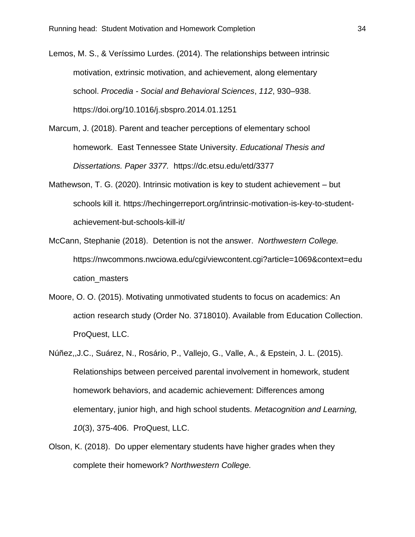Lemos, M. S., & Veríssimo Lurdes. (2014). The relationships between intrinsic motivation, extrinsic motivation, and achievement, along elementary school. *Procedia - Social and Behavioral Sciences*, *112*, 930–938. https://doi.org/10.1016/j.sbspro.2014.01.1251

- Marcum, J. (2018). Parent and teacher perceptions of elementary school homework. East Tennessee State University. *Educational Thesis and Dissertations. Paper 3377.* https://dc.etsu.edu/etd/3377
- Mathewson, T. G. (2020). Intrinsic motivation is key to student achievement but schools kill it. https://hechingerreport.org/intrinsic-motivation-is-key-to-studentachievement-but-schools-kill-it/
- McCann, Stephanie (2018). Detention is not the answer. *Northwestern College.* https://nwcommons.nwciowa.edu/cgi/viewcontent.cgi?article=1069&context=edu cation\_masters
- Moore, O. O. (2015). Motivating unmotivated students to focus on academics: An action research study (Order No. 3718010). Available from Education Collection. ProQuest, LLC.
- Núñez,,J.C., Suárez, N., Rosário, P., Vallejo, G., Valle, A., & Epstein, J. L. (2015). Relationships between perceived parental involvement in homework, student homework behaviors, and academic achievement: Differences among elementary, junior high, and high school students. *Metacognition and Learning, 10*(3), 375-406. ProQuest, LLC.
- Olson, K. (2018). Do upper elementary students have higher grades when they complete their homework? *Northwestern College.*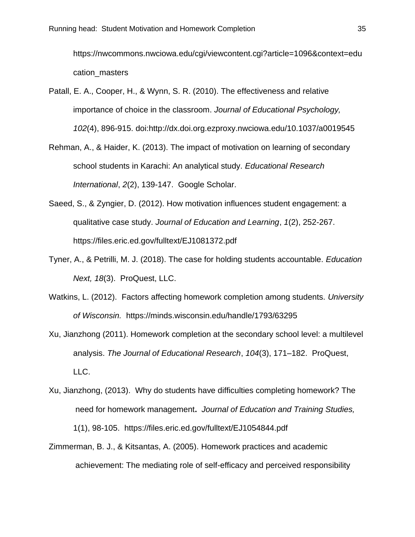https://nwcommons.nwciowa.edu/cgi/viewcontent.cgi?article=1096&context=edu cation\_masters

- Patall, E. A., Cooper, H., & Wynn, S. R. (2010). The effectiveness and relative importance of choice in the classroom. *Journal of Educational Psychology, 102*(4), 896-915. doi:http://dx.doi.org.ezproxy.nwciowa.edu/10.1037/a0019545
- Rehman, A., & Haider, K. (2013). The impact of motivation on learning of secondary school students in Karachi: An analytical study. *Educational Research International*, *2*(2), 139-147. Google Scholar.
- Saeed, S., & Zyngier, D. (2012). How motivation influences student engagement: a qualitative case study. *Journal of Education and Learning*, *1*(2), 252-267. https://files.eric.ed.gov/fulltext/EJ1081372.pdf
- Tyner, A., & Petrilli, M. J. (2018). The case for holding students accountable. *Education Next, 18*(3). ProQuest, LLC.
- Watkins, L. (2012). Factors affecting homework completion among students. *University of Wisconsin.* https://minds.wisconsin.edu/handle/1793/63295
- Xu, Jianzhong (2011). Homework completion at the secondary school level: a multilevel analysis. *The Journal of Educational Research*, *104*(3), 171–182. ProQuest, LLC.
- Xu, Jianzhong, (2013). Why do students have difficulties completing homework? The need for homework management**.** *Journal of Education and Training Studies,*  1(1), 98-105. https://files.eric.ed.gov/fulltext/EJ1054844.pdf
- Zimmerman, B. J., & Kitsantas, A. (2005). Homework practices and academic achievement: The mediating role of self-efficacy and perceived responsibility